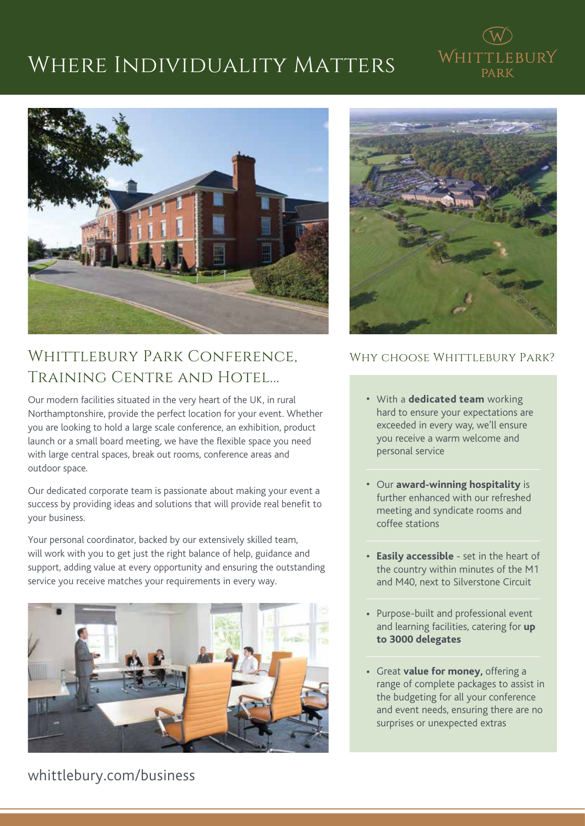## Where Individuality Matters





## WHITTLEBURY PARK CONFERENCE. Training Centre and Hotel...

Our modern facilities situated in the very heart of the UK, in rural Northamptonshire, provide the perfect location for your event. Whether you are looking to hold a large scale conference, an exhibition, product launch or a small board meeting, we have the flexible space you need with large central spaces, break out rooms, conference areas and outdoor space.

Our dedicated corporate team is passionate about making your event a success by providing ideas and solutions that will provide real benefit to your business.

Your personal coordinator, backed by our extensively skilled team, will work with you to get just the right balance of help, guidance and support, adding value at every opportunity and ensuring the outstanding service you receive matches your requirements in every way.





#### WHY CHOOSE WHITTLEBURY PARK?

- With a **dedicated team** working hard to ensure your expectations are exceeded in every way, we'll ensure you receive a warm welcome and personal service
- Our **award-winning hospitality** is further enhanced with our refreshed meeting and syndicate rooms and coffee stations
- **Easily accessible** set in the heart of the country within minutes of the M1 and M40, next to Silverstone Circuit
- Purpose-built and professional event and learning facilities, catering for **up to 3000 delegates**
- Great **value for money,** offering a range of complete packages to assist in the budgeting for all your conference and event needs, ensuring there are no surprises or unexpected extras

whittlebury.com/business